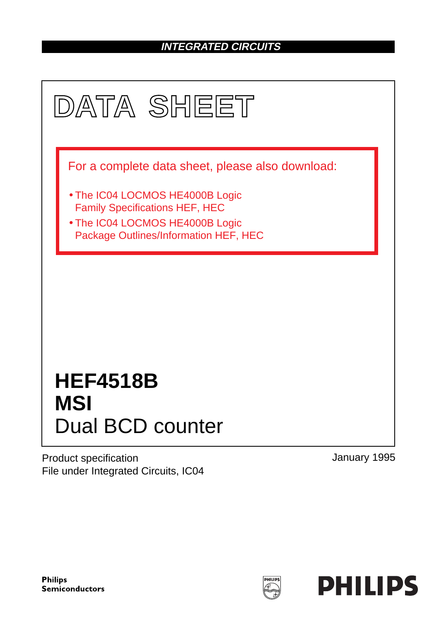### **INTEGRATED CIRCUITS**



Product specification File under Integrated Circuits, IC04 January 1995

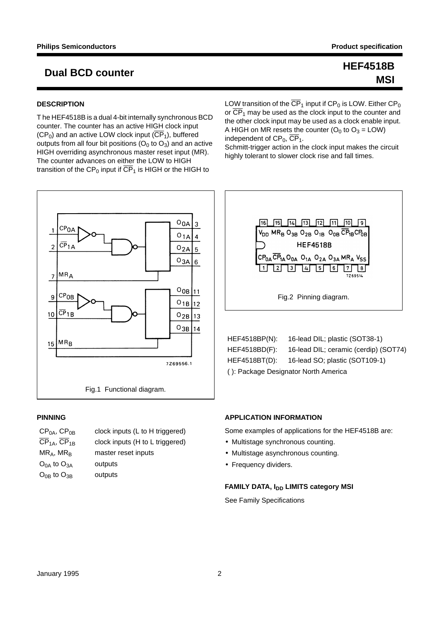# **MSI**

## **Dual BCD counter HEF4518B**

### **DESCRIPTION**

T he HEF4518B is a dual 4-bit internally synchronous BCD counter. The counter has an active HIGH clock input  $(CP_0)$  and an active LOW clock input  $(\overline{CP}_1)$ , buffered outputs from all four bit positions  $(O_0$  to  $O_3)$  and an active HIGH overriding asynchronous master reset input (MR). The counter advances on either the LOW to HIGH transition of the CP<sub>0</sub> input if  $\overline{\text{CP}}_1$  is HIGH or the HIGH to

LOW transition of the  $\overline{\text{CP}}_1$  input if CP<sub>0</sub> is LOW. Either CP<sub>0</sub> or  $\overline{\text{CP}}_1$  may be used as the clock input to the counter and the other clock input may be used as a clock enable input. A HIGH on MR resets the counter  $(O_0$  to  $O_3 = LOW)$ independent of  $CP_0$ ,  $\overline{CP_1}$ .

Schmitt-trigger action in the clock input makes the circuit highly tolerant to slower clock rise and fall times.



### **PINNING**

| $CP0A$ , $CP0B$                     | clock inputs (L to H triggered) |
|-------------------------------------|---------------------------------|
| CP <sub>1A</sub> , CP <sub>1B</sub> | clock inputs (H to L triggered) |
| $MR_A$ , MR <sub>B</sub>            | master reset inputs             |
| $O_{0A}$ to $O_{3A}$                | outputs                         |
| $O_{0B}$ to $O_{3B}$                | outputs                         |
|                                     |                                 |



HEF4518BP(N): 16-lead DIL; plastic (SOT38-1) HEF4518BD(F): 16-lead DIL; ceramic (cerdip) (SOT74) HEF4518BT(D): 16-lead SO; plastic (SOT109-1) ( ): Package Designator North America

### **APPLICATION INFORMATION**

Some examples of applications for the HEF4518B are:

- Multistage synchronous counting.
- Multistage asynchronous counting.
- Frequency dividers.

### **FAMILY DATA, I<sub>DD</sub> LIMITS category MSI**

See Family Specifications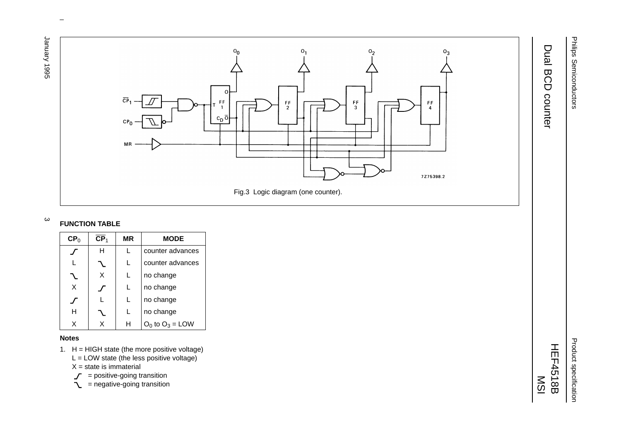1996 Yasunar January 1995 3



 $\omega$  rotated correctly when browsing through the pdf in the Acrobat reader.This text is here in the pdf in the  $\alpha$ 

### $\mathbf \omega$ **FUNCTION TABLE**

| CP <sub>0</sub> | $\mathsf{CP}_1$ | ΜR | MODE                 |
|-----------------|-----------------|----|----------------------|
|                 | н               |    | counter advances     |
|                 |                 |    | counter advances     |
|                 | X               | L  | no change            |
| X               |                 | L  | no change            |
|                 |                 |    | no change            |
| н               |                 | L  | no change            |
| x               | x               | н  | $O_0$ to $O_3$ = LOW |

### **Notes**

1. H <sup>=</sup> HIGH state (the more positive voltage)

 $L =$  LOW state (the less positive voltage)

X = state is immaterial

- = positive-going transition
- = negative-going transition

HEF4518B

MSI

# Dual BCD counter Dual BCD counter

Philips Semiconductors

Philips Semiconductors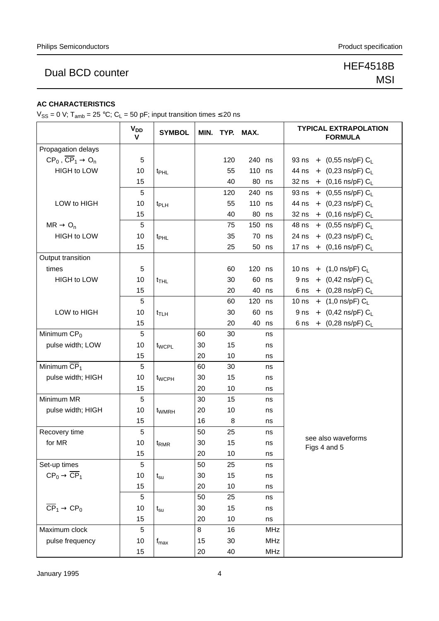## Dual BCD counter New York 1999 HEF4518B

# MSI

### **AC CHARACTERISTICS**

 $V_{SS} = 0$  V; T<sub>amb</sub> = 25 °C; C<sub>L</sub> = 50 pF; input transition times  $\leq$  20 ns

|                                                  | <b>V<sub>DD</sub></b><br>$\mathbf{V}$ | <b>SYMBOL</b>     |    | MIN. TYP. MAX. |        |            | <b>TYPICAL EXTRAPOLATION</b><br><b>FORMULA</b> |
|--------------------------------------------------|---------------------------------------|-------------------|----|----------------|--------|------------|------------------------------------------------|
| Propagation delays                               |                                       |                   |    |                |        |            |                                                |
| $CP_0$ , $\overline{CP}_1 \rightarrow O_n$       | 5                                     |                   |    | 120            | 240 ns |            | 93 ns + $(0,55 \text{ ns/pF}) C_L$             |
| <b>HIGH to LOW</b>                               | 10                                    | t <sub>PHL</sub>  |    | 55             | 110    | ns         | 44 ns + $(0,23 \text{ ns/pF}) C_L$             |
|                                                  | 15                                    |                   |    | 40             | 80     | ns         | 32 ns + $(0,16 \text{ ns/pF}) C_L$             |
|                                                  | 5                                     |                   |    | 120            | 240    | ns         | 93 ns + $(0,55 \text{ ns/pF}) C_L$             |
| LOW to HIGH                                      | 10                                    | t <sub>PLH</sub>  |    | 55             | 110    | ns         | 44 ns + $(0,23 \text{ ns/pF}) C_L$             |
|                                                  | 15                                    |                   |    | 40             | 80     | ns         | 32 ns + $(0,16 \text{ ns/pF}) C_L$             |
| $MR \rightarrow O_n$                             | 5                                     |                   |    | 75             | 150    | ns         | 48 ns + (0,55 ns/pF) CL                        |
| <b>HIGH to LOW</b>                               | 10                                    | t <sub>PHL</sub>  |    | 35             | 70     | ns         | 24 ns + $(0,23 \text{ ns/pF}) C_L$             |
|                                                  | 15                                    |                   |    | 25             | 50 ns  |            | 17 ns + $(0,16 \text{ ns/pF}) C_L$             |
| Output transition                                |                                       |                   |    |                |        |            |                                                |
| times                                            | 5                                     |                   |    | 60             | 120 ns |            | 10 ns + $(1,0 \text{ ns/pF}) C_L$              |
| <b>HIGH to LOW</b>                               | 10                                    | $t_{THL}$         |    | 30             | 60     | ns         | 9 ns + $(0,42 \text{ ns/pF}) C_L$              |
|                                                  | 15                                    |                   |    | 20             | 40     | ns         | 6 ns + $(0,28 \text{ ns/pF}) C_L$              |
|                                                  | 5                                     |                   |    | 60             | 120    | ns         | 10 ns + $(1,0 \text{ ns/pF}) C_L$              |
| LOW to HIGH                                      | 10                                    | $t_{\text{TLH}}$  |    | 30             | 60     | ns         | 9 ns + $(0,42 \text{ ns/pF}) C_L$              |
|                                                  | 15                                    |                   |    | 20             | 40     | ns         | 6 ns + $(0,28 \text{ ns/pF}) C_L$              |
| Minimum $CP0$                                    | 5                                     |                   | 60 | 30             |        | ns         |                                                |
| pulse width; LOW                                 | 10                                    | t <sub>WCPL</sub> | 30 | 15             |        | ns         |                                                |
|                                                  | 15                                    |                   | 20 | 10             |        | ns         |                                                |
| Minimum $\overline{\text{CP}}_1$                 | $\sqrt{5}$                            |                   | 60 | 30             |        | ns         |                                                |
| pulse width; HIGH                                | 10                                    | t <sub>WCPH</sub> | 30 | 15             |        | ns         |                                                |
|                                                  | 15                                    |                   | 20 | 10             |        | ns         |                                                |
| Minimum MR                                       | 5                                     |                   | 30 | 15             |        | ns         |                                                |
| pulse width; HIGH                                | 10                                    | t <sub>WMRH</sub> | 20 | 10             |        | ns         |                                                |
|                                                  | 15                                    |                   | 16 | 8              |        | ns         |                                                |
| Recovery time                                    | $\overline{5}$                        |                   | 50 | 25             |        | ns         |                                                |
| for MR                                           | 10                                    | t <sub>RMR</sub>  | 30 | 15             |        | ns         | see also waveforms<br>Figs 4 and 5             |
|                                                  | 15                                    |                   | 20 | 10             |        | ns         |                                                |
| Set-up times                                     | 5                                     |                   | 50 | 25             |        | ns         |                                                |
| $\text{CP}_0 \rightarrow \overline{\text{CP}}_1$ | 10                                    | $t_{\rm su}$      | 30 | 15             |        | ns         |                                                |
|                                                  | 15                                    |                   | 20 | 10             |        | ns         |                                                |
|                                                  | 5                                     |                   | 50 | 25             |        | ns         |                                                |
| $\overline{\text{CP}}_1 \rightarrow \text{CP}_0$ | 10                                    | $t_{\rm su}$      | 30 | 15             |        | ns         |                                                |
|                                                  | 15                                    |                   | 20 | 10             |        | ns         |                                                |
| Maximum clock                                    | $\sqrt{5}$                            |                   | 8  | 16             |        | <b>MHz</b> |                                                |
| pulse frequency                                  | 10                                    | $f_{\text{max}}$  | 15 | 30             |        | <b>MHz</b> |                                                |
|                                                  | 15                                    |                   | 20 | 40             |        | <b>MHz</b> |                                                |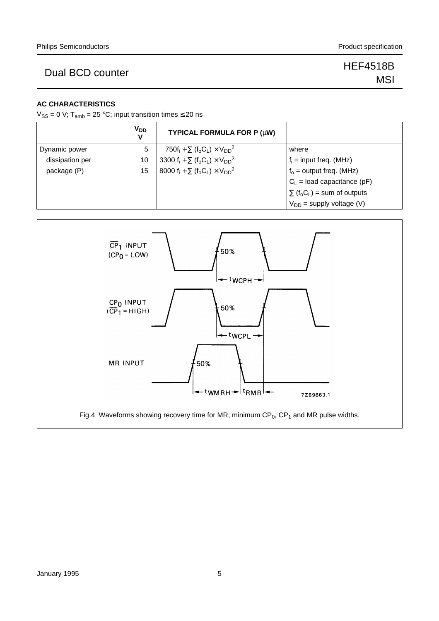## Dual BCD counter New York 1999 HEF4518B

# MSI

### **AC CHARACTERISTICS**

 $V_{SS} = 0$  V; T<sub>amb</sub> = 25 °C; input transition times  $\leq$  20 ns

|                 | V <sub>DD</sub><br>٧ | TYPICAL FORMULA FOR P (µW)                                                                     |                                                          |
|-----------------|----------------------|------------------------------------------------------------------------------------------------|----------------------------------------------------------|
| Dynamic power   | 5                    | 750f <sub>i</sub> + $\Sigma$ (f <sub>o</sub> C <sub>L</sub> ) × V <sub>DD</sub> <sup>2</sup>   | where                                                    |
| dissipation per | 10                   | 3300 f <sub>i</sub> + $\Sigma$ (f <sub>o</sub> C <sub>L</sub> ) × V <sub>DD</sub> <sup>2</sup> | $f_i$ = input freq. (MHz)                                |
| package (P)     | 15                   | 8000 f <sub>i</sub> + $\Sigma$ (f <sub>o</sub> C <sub>L</sub> ) × V <sub>DD</sub> <sup>2</sup> | $f_0$ = output freq. (MHz)                               |
|                 |                      |                                                                                                | $C_1$ = load capacitance (pF)                            |
|                 |                      |                                                                                                | $\sum$ (f <sub>o</sub> C <sub>L</sub> ) = sum of outputs |
|                 |                      |                                                                                                | $V_{DD}$ = supply voltage (V)                            |

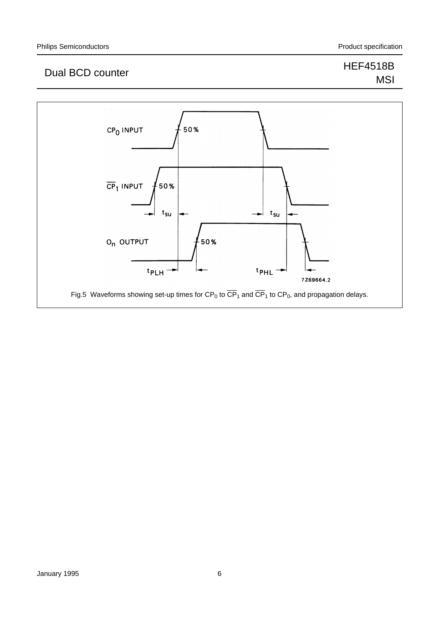## Dual BCD counter New York 1999 HEF4518B

# MSI